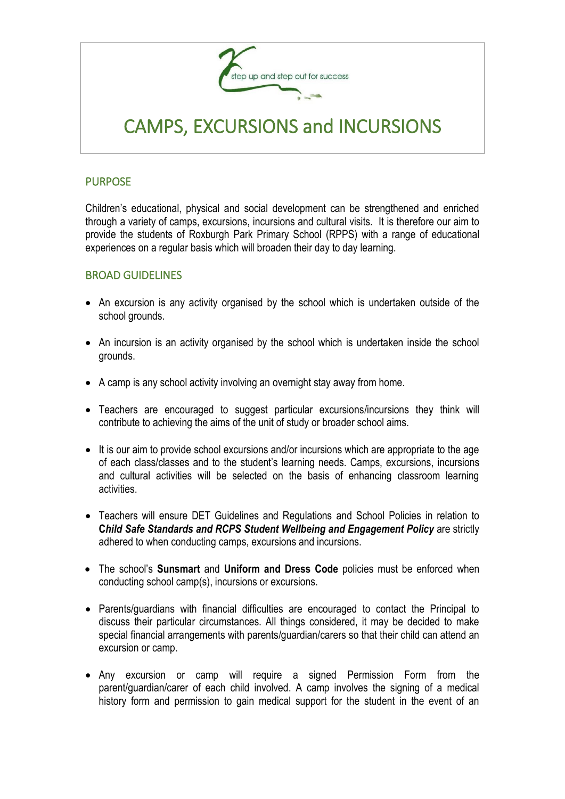

# CAMPS, EXCURSIONS and INCURSIONS

#### PURPOSE

Children's educational, physical and social development can be strengthened and enriched through a variety of camps, excursions, incursions and cultural visits. It is therefore our aim to provide the students of Roxburgh Park Primary School (RPPS) with a range of educational experiences on a regular basis which will broaden their day to day learning.

#### BROAD GUIDELINES

- An excursion is any activity organised by the school which is undertaken outside of the school grounds.
- An incursion is an activity organised by the school which is undertaken inside the school grounds.
- A camp is any school activity involving an overnight stay away from home.
- Teachers are encouraged to suggest particular excursions/incursions they think will contribute to achieving the aims of the unit of study or broader school aims.
- It is our aim to provide school excursions and/or incursions which are appropriate to the age of each class/classes and to the student's learning needs. Camps, excursions, incursions and cultural activities will be selected on the basis of enhancing classroom learning activities.
- Teachers will ensure DET Guidelines and Regulations and School Policies in relation to **C***hild Safe Standards and RCPS Student Wellbeing and Engagement Policy* are strictly adhered to when conducting camps, excursions and incursions.
- The school's **Sunsmart** and **Uniform and Dress Code** policies must be enforced when conducting school camp(s), incursions or excursions.
- Parents/guardians with financial difficulties are encouraged to contact the Principal to discuss their particular circumstances. All things considered, it may be decided to make special financial arrangements with parents/guardian/carers so that their child can attend an excursion or camp.
- Any excursion or camp will require a signed Permission Form from the parent/guardian/carer of each child involved. A camp involves the signing of a medical history form and permission to gain medical support for the student in the event of an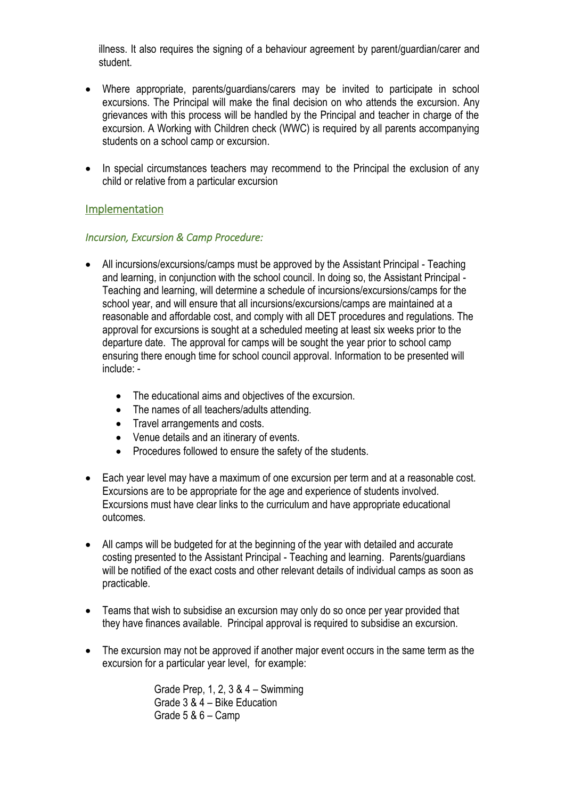illness. It also requires the signing of a behaviour agreement by parent/guardian/carer and student.

- Where appropriate, parents/guardians/carers may be invited to participate in school excursions. The Principal will make the final decision on who attends the excursion. Any grievances with this process will be handled by the Principal and teacher in charge of the excursion. A Working with Children check (WWC) is required by all parents accompanying students on a school camp or excursion.
- In special circumstances teachers may recommend to the Principal the exclusion of any child or relative from a particular excursion

### Implementation

#### *Incursion, Excursion & Camp Procedure:*

- All incursions/excursions/camps must be approved by the Assistant Principal Teaching and learning, in conjunction with the school council. In doing so, the Assistant Principal - Teaching and learning, will determine a schedule of incursions/excursions/camps for the school year, and will ensure that all incursions/excursions/camps are maintained at a reasonable and affordable cost, and comply with all DET procedures and regulations. The approval for excursions is sought at a scheduled meeting at least six weeks prior to the departure date. The approval for camps will be sought the year prior to school camp ensuring there enough time for school council approval. Information to be presented will include: -
	- The educational aims and objectives of the excursion.
	- The names of all teachers/adults attending.
	- Travel arrangements and costs.
	- Venue details and an itinerary of events.
	- Procedures followed to ensure the safety of the students.
- Each year level may have a maximum of one excursion per term and at a reasonable cost. Excursions are to be appropriate for the age and experience of students involved. Excursions must have clear links to the curriculum and have appropriate educational outcomes.
- All camps will be budgeted for at the beginning of the year with detailed and accurate costing presented to the Assistant Principal - Teaching and learning. Parents/guardians will be notified of the exact costs and other relevant details of individual camps as soon as practicable.
- Teams that wish to subsidise an excursion may only do so once per year provided that they have finances available. Principal approval is required to subsidise an excursion.
- The excursion may not be approved if another major event occurs in the same term as the excursion for a particular year level, for example:

Grade Prep, 1, 2, 3 & 4 – Swimming Grade 3 & 4 – Bike Education Grade 5 & 6 – Camp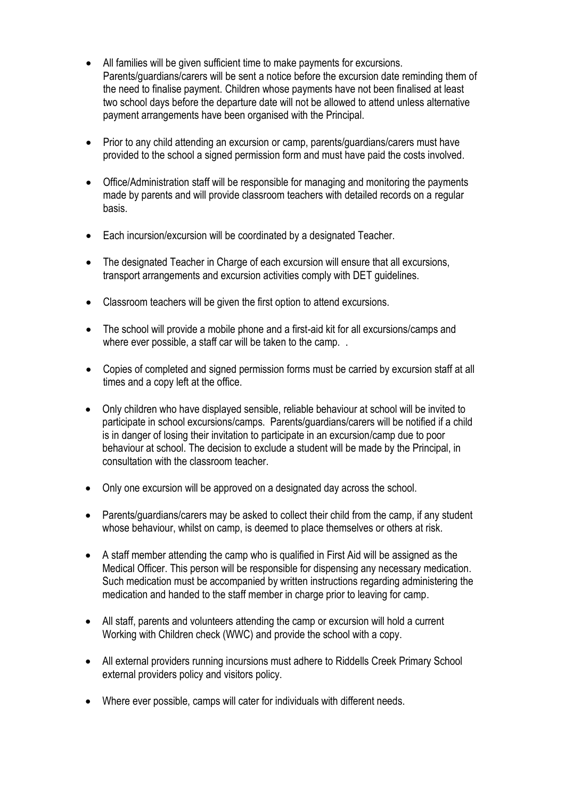- All families will be given sufficient time to make payments for excursions. Parents/guardians/carers will be sent a notice before the excursion date reminding them of the need to finalise payment. Children whose payments have not been finalised at least two school days before the departure date will not be allowed to attend unless alternative payment arrangements have been organised with the Principal.
- Prior to any child attending an excursion or camp, parents/guardians/carers must have provided to the school a signed permission form and must have paid the costs involved.
- Office/Administration staff will be responsible for managing and monitoring the payments made by parents and will provide classroom teachers with detailed records on a regular basis.
- Each incursion/excursion will be coordinated by a designated Teacher.
- The designated Teacher in Charge of each excursion will ensure that all excursions, transport arrangements and excursion activities comply with DET guidelines.
- Classroom teachers will be given the first option to attend excursions.
- The school will provide a mobile phone and a first-aid kit for all excursions/camps and where ever possible, a staff car will be taken to the camp. .
- Copies of completed and signed permission forms must be carried by excursion staff at all times and a copy left at the office.
- Only children who have displayed sensible, reliable behaviour at school will be invited to participate in school excursions/camps. Parents/guardians/carers will be notified if a child is in danger of losing their invitation to participate in an excursion/camp due to poor behaviour at school. The decision to exclude a student will be made by the Principal, in consultation with the classroom teacher.
- Only one excursion will be approved on a designated day across the school.
- Parents/guardians/carers may be asked to collect their child from the camp, if any student whose behaviour, whilst on camp, is deemed to place themselves or others at risk.
- A staff member attending the camp who is qualified in First Aid will be assigned as the Medical Officer. This person will be responsible for dispensing any necessary medication. Such medication must be accompanied by written instructions regarding administering the medication and handed to the staff member in charge prior to leaving for camp.
- All staff, parents and volunteers attending the camp or excursion will hold a current Working with Children check (WWC) and provide the school with a copy.
- All external providers running incursions must adhere to Riddells Creek Primary School external providers policy and visitors policy.
- Where ever possible, camps will cater for individuals with different needs.